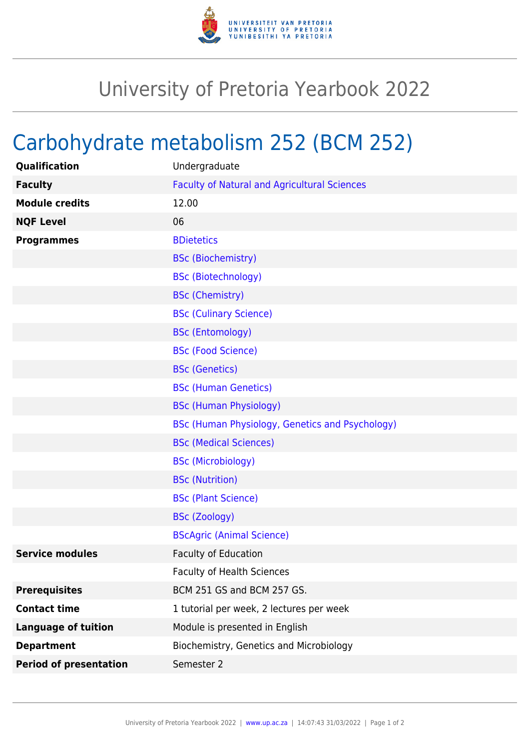

## University of Pretoria Yearbook 2022

## Carbohydrate metabolism 252 (BCM 252)

| Qualification                 | Undergraduate                                       |
|-------------------------------|-----------------------------------------------------|
| <b>Faculty</b>                | <b>Faculty of Natural and Agricultural Sciences</b> |
| <b>Module credits</b>         | 12.00                                               |
| <b>NQF Level</b>              | 06                                                  |
| <b>Programmes</b>             | <b>BDietetics</b>                                   |
|                               | <b>BSc (Biochemistry)</b>                           |
|                               | <b>BSc (Biotechnology)</b>                          |
|                               | <b>BSc (Chemistry)</b>                              |
|                               | <b>BSc (Culinary Science)</b>                       |
|                               | <b>BSc (Entomology)</b>                             |
|                               | <b>BSc (Food Science)</b>                           |
|                               | <b>BSc (Genetics)</b>                               |
|                               | <b>BSc (Human Genetics)</b>                         |
|                               | <b>BSc (Human Physiology)</b>                       |
|                               | BSc (Human Physiology, Genetics and Psychology)     |
|                               | <b>BSc (Medical Sciences)</b>                       |
|                               | <b>BSc (Microbiology)</b>                           |
|                               | <b>BSc (Nutrition)</b>                              |
|                               | <b>BSc (Plant Science)</b>                          |
|                               | <b>BSc (Zoology)</b>                                |
|                               | <b>BScAgric (Animal Science)</b>                    |
| <b>Service modules</b>        | <b>Faculty of Education</b>                         |
|                               | <b>Faculty of Health Sciences</b>                   |
| <b>Prerequisites</b>          | BCM 251 GS and BCM 257 GS.                          |
| <b>Contact time</b>           | 1 tutorial per week, 2 lectures per week            |
| <b>Language of tuition</b>    | Module is presented in English                      |
| <b>Department</b>             | Biochemistry, Genetics and Microbiology             |
| <b>Period of presentation</b> | Semester 2                                          |
|                               |                                                     |